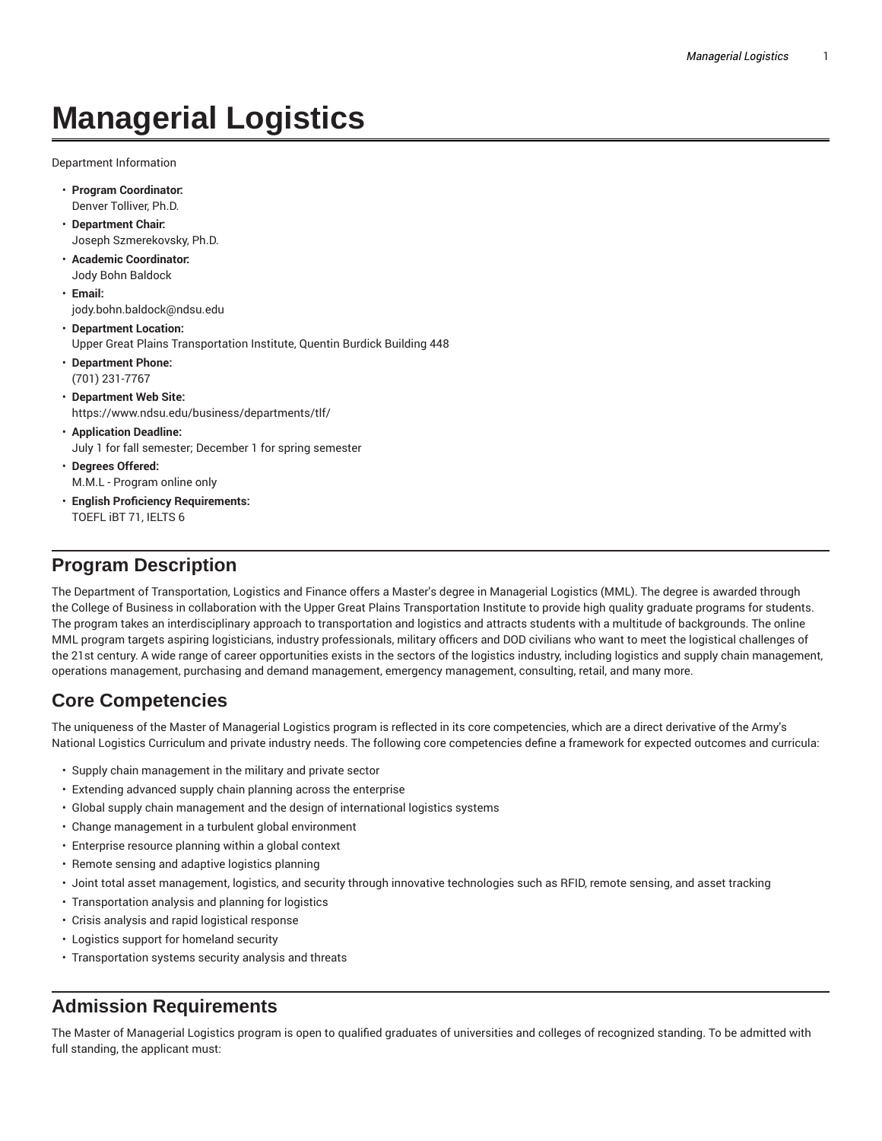# **Managerial Logistics**

Department Information

- **Program Coordinator:** Denver Tolliver, Ph.D.
- **Department Chair:** Joseph Szmerekovsky, Ph.D.
- **Academic Coordinator:** Jody Bohn Baldock
- **Email:** jody.bohn.baldock@ndsu.edu
- **Department Location:** Upper Great Plains Transportation Institute, Quentin Burdick Building 448
- **Department Phone:** (701) 231-7767
- **Department Web Site:** https://www.ndsu.edu/business/departments/tlf/
- **Application Deadline:** July 1 for fall semester; December 1 for spring semester
- **Degrees Offered:** M.M.L - Program online only
- **English Proficiency Requirements:** TOEFL iBT 71, IELTS 6

# **Program Description**

The Department of Transportation, Logistics and Finance offers a Master's degree in Managerial Logistics (MML). The degree is awarded through the College of Business in collaboration with the Upper Great Plains Transportation Institute to provide high quality graduate programs for students. The program takes an interdisciplinary approach to transportation and logistics and attracts students with a multitude of backgrounds. The online MML program targets aspiring logisticians, industry professionals, military officers and DOD civilians who want to meet the logistical challenges of the 21st century. A wide range of career opportunities exists in the sectors of the logistics industry, including logistics and supply chain management, operations management, purchasing and demand management, emergency management, consulting, retail, and many more.

# **Core Competencies**

The uniqueness of the Master of Managerial Logistics program is reflected in its core competencies, which are a direct derivative of the Army's National Logistics Curriculum and private industry needs. The following core competencies define a framework for expected outcomes and curricula:

- Supply chain management in the military and private sector
- Extending advanced supply chain planning across the enterprise
- Global supply chain management and the design of international logistics systems
- Change management in a turbulent global environment
- Enterprise resource planning within a global context
- Remote sensing and adaptive logistics planning
- Joint total asset management, logistics, and security through innovative technologies such as RFID, remote sensing, and asset tracking
- Transportation analysis and planning for logistics
- Crisis analysis and rapid logistical response
- Logistics support for homeland security
- Transportation systems security analysis and threats

# **Admission Requirements**

The Master of Managerial Logistics program is open to qualified graduates of universities and colleges of recognized standing. To be admitted with full standing, the applicant must: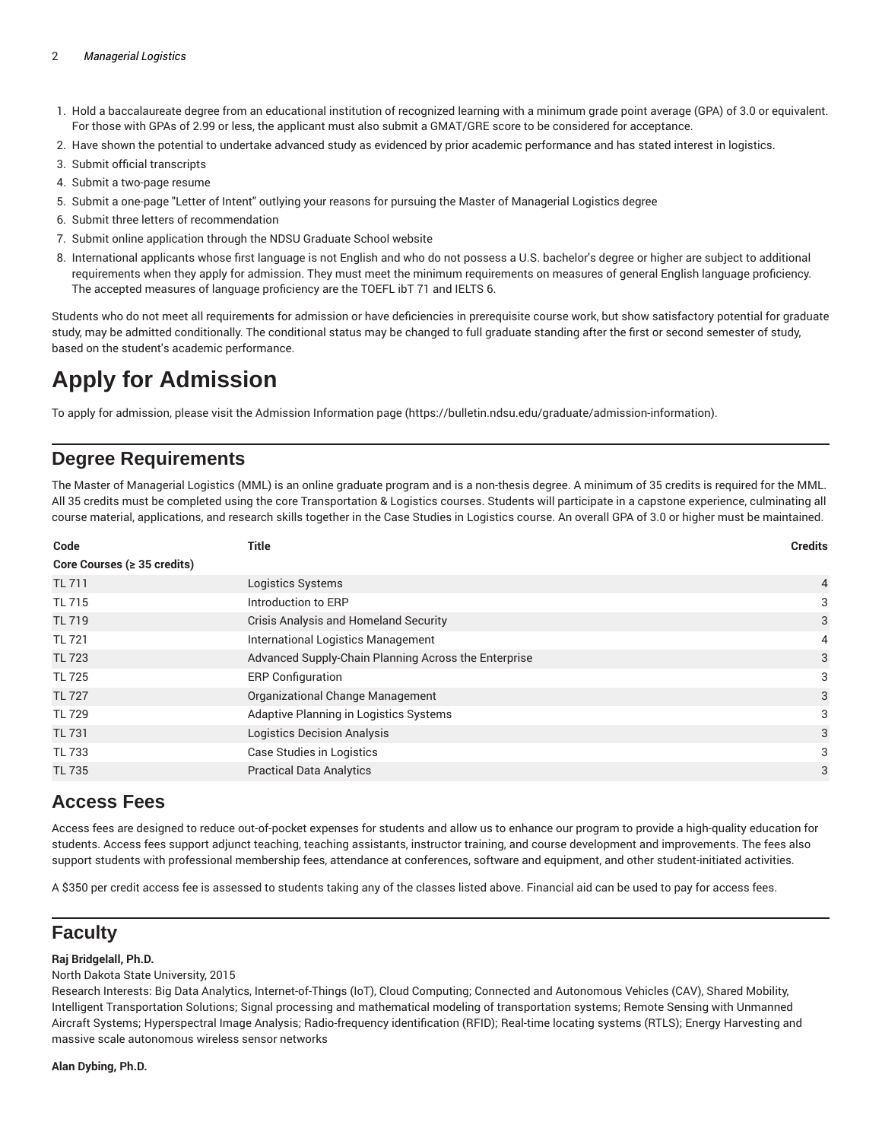#### 2 *Managerial Logistics*

- 1. Hold a baccalaureate degree from an educational institution of recognized learning with a minimum grade point average (GPA) of 3.0 or equivalent. For those with GPAs of 2.99 or less, the applicant must also submit a GMAT/GRE score to be considered for acceptance.
- 2. Have shown the potential to undertake advanced study as evidenced by prior academic performance and has stated interest in logistics.
- 3. Submit official transcripts
- 4. Submit a two-page resume
- 5. Submit a one-page "Letter of Intent" outlying your reasons for pursuing the Master of Managerial Logistics degree
- 6. Submit three letters of recommendation
- 7. Submit online application through the NDSU Graduate School website
- 8. International applicants whose first language is not English and who do not possess a U.S. bachelor's degree or higher are subject to additional requirements when they apply for admission. They must meet the minimum requirements on measures of general English language proficiency. The accepted measures of language proficiency are the TOEFL ibT 71 and IELTS 6.

Students who do not meet all requirements for admission or have deficiencies in prerequisite course work, but show satisfactory potential for graduate study, may be admitted conditionally. The conditional status may be changed to full graduate standing after the first or second semester of study, based on the student's academic performance.

# **Apply for Admission**

To apply for admission, please visit the Admission Information page (https://bulletin.ndsu.edu/graduate/admission-information).

# **Degree Requirements**

The Master of Managerial Logistics (MML) is an online graduate program and is a non-thesis degree. A minimum of 35 credits is required for the MML. All 35 credits must be completed using the core Transportation & Logistics courses. Students will participate in a capstone experience, culminating all course material, applications, and research skills together in the Case Studies in Logistics course. An overall GPA of 3.0 or higher must be maintained.

| Code                              | <b>Title</b>                                         | <b>Credits</b> |
|-----------------------------------|------------------------------------------------------|----------------|
| Core Courses ( $\geq$ 35 credits) |                                                      |                |
| <b>TL 711</b>                     | <b>Logistics Systems</b>                             | $\overline{4}$ |
| <b>TL 715</b>                     | Introduction to ERP                                  | 3              |
| <b>TL 719</b>                     | Crisis Analysis and Homeland Security                | 3              |
| <b>TL 721</b>                     | International Logistics Management                   | 4              |
| <b>TL 723</b>                     | Advanced Supply-Chain Planning Across the Enterprise | 3              |
| <b>TL 725</b>                     | <b>ERP Configuration</b>                             | 3              |
| <b>TL 727</b>                     | Organizational Change Management                     | 3              |
| <b>TL 729</b>                     | Adaptive Planning in Logistics Systems               | 3              |
| <b>TL 731</b>                     | <b>Logistics Decision Analysis</b>                   | 3              |
| <b>TL 733</b>                     | Case Studies in Logistics                            | 3              |
| <b>TL 735</b>                     | <b>Practical Data Analytics</b>                      | 3              |
|                                   |                                                      |                |

### **Access Fees**

Access fees are designed to reduce out-of-pocket expenses for students and allow us to enhance our program to provide a high-quality education for students. Access fees support adjunct teaching, teaching assistants, instructor training, and course development and improvements. The fees also support students with professional membership fees, attendance at conferences, software and equipment, and other student-initiated activities.

A \$350 per credit access fee is assessed to students taking any of the classes listed above. Financial aid can be used to pay for access fees.

# **Faculty**

#### **Raj Bridgelall, Ph.D.**

North Dakota State University, 2015

Research Interests: Big Data Analytics, Internet-of-Things (IoT), Cloud Computing; Connected and Autonomous Vehicles (CAV), Shared Mobility, Intelligent Transportation Solutions; Signal processing and mathematical modeling of transportation systems; Remote Sensing with Unmanned Aircraft Systems; Hyperspectral Image Analysis; Radio-frequency identification (RFID); Real-time locating systems (RTLS); Energy Harvesting and massive scale autonomous wireless sensor networks